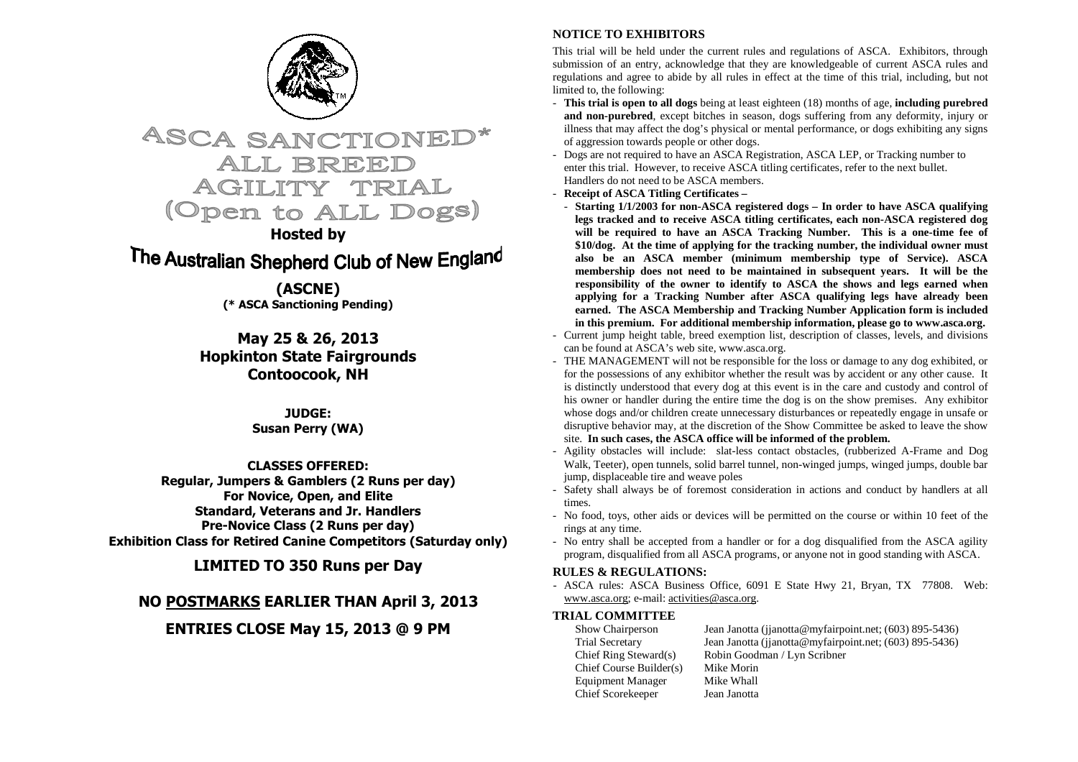

# **ASCA SANCTIONE** ALL BREEI AGILITY (Open to ALL Dogs)

## **Hosted by**

# The Australian Shepherd Club of New England

**(ASCNE) (\* ASCA Sanctioning Pending)** 

**May 25 & 26, 2013 Hopkinton State Fairgrounds Contoocook, NH** 

> **JUDGE: Susan Perry (WA)**

# **CLASSES OFFERED:**

 **Regular, Jumpers & Gamblers (2 Runs per day) For Novice, Open, and Elite Standard, Veterans and Jr. Handlers Pre-Novice Class (2 Runs per day) Exhibition Class for Retired Canine Competitors (Saturday only)** 

**LIMITED TO 350 Runs per Day** 

# **NO POSTMARKS EARLIER THAN April 3, 2013**

# **ENTRIES CLOSE May 15, 2013 @ 9 PM**

## **NOTICE TO EXHIBITORS**

This trial will be held under the current rules and regulations of ASCA. Exhibitors, through submission of an entry, acknowledge that they are knowledgeable of current ASCA rules and regulations and agree to abide by all rules in effect at the time of this trial, including, but not limited to, the following:

- **This trial is open to all dogs** being at least eighteen (18) months of age, **including purebred and non-purebred**, except bitches in season, dogs suffering from any deformity, injury or illness that may affect the dog's physical or mental performance, or dogs exhibiting any signs of aggression towards people or other dogs.
- Dogs are not required to have an ASCA Registration, ASCA LEP, or Tracking number to enter this trial. However, to receive ASCA titling certificates, refer to the next bullet. Handlers do not need to be ASCA members.
- **Receipt of ASCA Titling Certificates**
- **Starting 1/1/2003 for non-ASCA registered dogs In order to have ASCA qualifying legs tracked and to receive ASCA titling certificates, each non-ASCA registered dog will be required to have an ASCA Tracking Number. This is a one-time fee of \$10/dog. At the time of applying for the tracking number, the individual owner must also be an ASCA member (minimum membership type of Service). ASCA membership does not need to be maintained in subsequent years. It will be the responsibility of the owner to identify to ASCA the shows and legs earned when applying for a Tracking Number after ASCA qualifying legs have already been earned. The ASCA Membership and Tracking Number Application form is included in this premium. For additional membership information, please go to www.asca.org.**
- Current jump height table, breed exemption list, description of classes, levels, and divisions can be found at ASCA's web site, www.asca.org.
- THE MANAGEMENT will not be responsible for the loss or damage to any dog exhibited, or for the possessions of any exhibitor whether the result was by accident or any other cause. It is distinctly understood that every dog at this event is in the care and custody and control of his owner or handler during the entire time the dog is on the show premises. Any exhibitor whose dogs and/or children create unnecessary disturbances or repeatedly engage in unsafe or disruptive behavior may, at the discretion of the Show Committee be asked to leave the show site. **In such cases, the ASCA office will be informed of the problem.**
- Agility obstacles will include: slat-less contact obstacles, (rubberized A-Frame and Dog Walk, Teeter), open tunnels, solid barrel tunnel, non-winged jumps, winged jumps, double bar jump, displaceable tire and weave poles
- Safety shall always be of foremost consideration in actions and conduct by handlers at all times.
- No food, toys, other aids or devices will be permitted on the course or within 10 feet of the rings at any time.
- No entry shall be accepted from a handler or for a dog disqualified from the ASCA agility program, disqualified from all ASCA programs, or anyone not in good standing with ASCA.

#### **RULES & REGULATIONS:**

 - ASCA rules: ASCA Business Office, 6091 E State Hwy 21, Bryan, TX 77808. Web: www.asca.org; e-mail: activities@asca.org.

### **TRIAL COMMITTEE**

| Show Chairperson         | Jean Janotta (jianotta@myfairpoint.net; (603) 895-5436) |
|--------------------------|---------------------------------------------------------|
| <b>Trial Secretary</b>   | Jean Janotta (jianotta@myfairpoint.net; (603) 895-5436) |
| Chief Ring Steward $(s)$ | Robin Goodman / Lyn Scribner                            |
| Chief Course Builder(s)  | Mike Morin                                              |
| <b>Equipment Manager</b> | Mike Whall                                              |
| Chief Scorekeeper        | Jean Janotta                                            |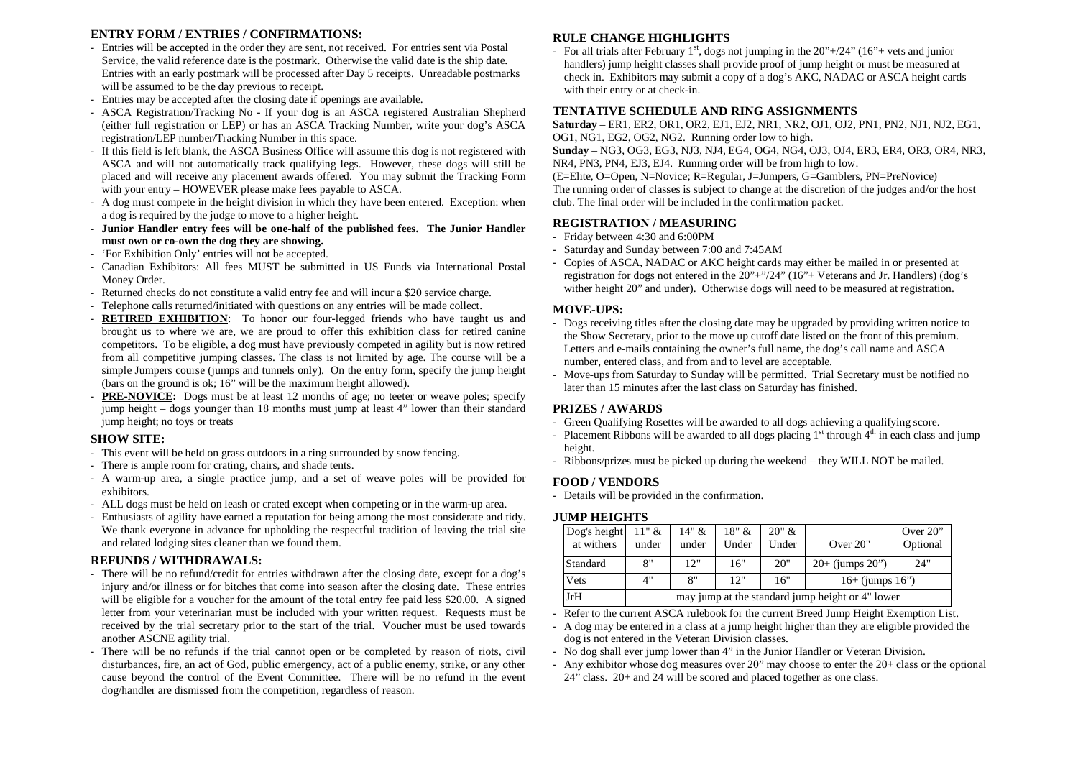#### **ENTRY FORM / ENTRIES / CONFIRMATIONS:**

- Entries will be accepted in the order they are sent, not received. For entries sent via Postal Service, the valid reference date is the postmark. Otherwise the valid date is the ship date. Entries with an early postmark will be processed after Day 5 receipts. Unreadable postmarks will be assumed to be the day previous to receipt.
- Entries may be accepted after the closing date if openings are available.
- ASCA Registration/Tracking No If your dog is an ASCA registered Australian Shepherd (either full registration or LEP) or has an ASCA Tracking Number, write your dog's ASCA registration/LEP number/Tracking Number in this space.
- If this field is left blank, the ASCA Business Office will assume this dog is not registered with ASCA and will not automatically track qualifying legs. However, these dogs will still be placed and will receive any placement awards offered. You may submit the Tracking Form with your entry – HOWEVER please make fees payable to ASCA.
- A dog must compete in the height division in which they have been entered. Exception: when a dog is required by the judge to move to a higher height.
- **Junior Handler entry fees will be one-half of the published fees. The Junior Handler must own or co-own the dog they are showing.**
- 'For Exhibition Only' entries will not be accepted.
- Canadian Exhibitors: All fees MUST be submitted in US Funds via International Postal Money Order.
- Returned checks do not constitute a valid entry fee and will incur a \$20 service charge.
- Telephone calls returned/initiated with questions on any entries will be made collect.
- **RETIRED EXHIBITION**: To honor our four-legged friends who have taught us and brought us to where we are, we are proud to offer this exhibition class for retired canine competitors. To be eligible, a dog must have previously competed in agility but is now retired from all competitive jumping classes. The class is not limited by age. The course will be a simple Jumpers course (jumps and tunnels only). On the entry form, specify the jump height (bars on the ground is ok; 16" will be the maximum height allowed).
- **PRE-NOVICE:** Dogs must be at least 12 months of age; no teeter or weave poles; specify jump height – dogs younger than 18 months must jump at least 4" lower than their standard jump height; no toys or treats

#### **SHOW SITE:**

- This event will be held on grass outdoors in a ring surrounded by snow fencing.
- There is ample room for crating, chairs, and shade tents.
- A warm-up area, a single practice jump, and a set of weave poles will be provided for exhibitors.
- ALL dogs must be held on leash or crated except when competing or in the warm-up area.
- Enthusiasts of agility have earned a reputation for being among the most considerate and tidy. We thank everyone in advance for upholding the respectful tradition of leaving the trial site and related lodging sites cleaner than we found them.

### **REFUNDS / WITHDRAWALS:**

- There will be no refund/credit for entries withdrawn after the closing date, except for a dog's injury and/or illness or for bitches that come into season after the closing date. These entries will be eligible for a voucher for the amount of the total entry fee paid less \$20.00. A signed letter from your veterinarian must be included with your written request. Requests must be received by the trial secretary prior to the start of the trial. Voucher must be used towards another ASCNE agility trial.
- There will be no refunds if the trial cannot open or be completed by reason of riots, civil disturbances, fire, an act of God, public emergency, act of a public enemy, strike, or any other cause beyond the control of the Event Committee. There will be no refund in the event dog/handler are dismissed from the competition, regardless of reason.

#### **RULE CHANGE HIGHLIGHTS**

- For all trials after February  $1<sup>st</sup>$ , dogs not jumping in the 20"+/24" (16"+ vets and junior handlers) jump height classes shall provide proof of jump height or must be measured at check in. Exhibitors may submit a copy of a dog's AKC, NADAC or ASCA height cards with their entry or at check-in.

#### **TENTATIVE SCHEDULE AND RING ASSIGNMENTS**

 **Saturday** – ER1, ER2, OR1, OR2, EJ1, EJ2, NR1, NR2, OJ1, OJ2, PN1, PN2, NJ1, NJ2, EG1, OG1, NG1, EG2, OG2, NG2. Running order low to high.

 **Sunday** – NG3, OG3, EG3, NJ3, NJ4, EG4, OG4, NG4, OJ3, OJ4, ER3, ER4, OR3, OR4, NR3, NR4, PN3, PN4, EJ3, EJ4. Running order will be from high to low.

 (E=Elite, O=Open, N=Novice; R=Regular, J=Jumpers, G=Gamblers, PN=PreNovice) The running order of classes is subject to change at the discretion of the judges and/or the host club. The final order will be included in the confirmation packet.

#### **REGISTRATION / MEASURING**

- Friday between 4:30 and 6:00PM
- Saturday and Sunday between 7:00 and 7:45AM
- Copies of ASCA, NADAC or AKC height cards may either be mailed in or presented at registration for dogs not entered in the  $20"$ +"/24" (16"+ Veterans and Jr. Handlers) (dog's wither height 20" and under). Otherwise dogs will need to be measured at registration.

#### **MOVE-UPS:**

- Dogs receiving titles after the closing date may be upgraded by providing written notice to the Show Secretary, prior to the move up cutoff date listed on the front of this premium. Letters and e-mails containing the owner's full name, the dog's call name and ASCA number, entered class, and from and to level are acceptable.
- Move-ups from Saturday to Sunday will be permitted. Trial Secretary must be notified no later than 15 minutes after the last class on Saturday has finished.

### **PRIZES / AWARDS**

- Green Qualifying Rosettes will be awarded to all dogs achieving a qualifying score.
- Placement Ribbons will be awarded to all dogs placing  $1<sup>st</sup>$  through  $4<sup>th</sup>$  in each class and jump height.
- Ribbons/prizes must be picked up during the weekend they WILL NOT be mailed.

#### **FOOD / VENDORS**

- Details will be provided in the confirmation.

#### **JUMP HEIGHTS**

| Dog's height | $11"$ & | $14" \&$ | 18" & | 20" & |                                                  | Over $20$ " |  |
|--------------|---------|----------|-------|-------|--------------------------------------------------|-------------|--|
| at withers   | under   | under    | Under | Under | Over 20"                                         | Optional    |  |
| Standard     | 8"      | 12"      | 16"   | 20"   | $20+$ (jumps $20$ ")                             | 24"         |  |
| Vets         | 4"      | 8"       | 12"   | 16"   | $16+$ (jumps $16"$ )                             |             |  |
| JrH          |         |          |       |       | may jump at the standard jump height or 4" lower |             |  |

- Refer to the current ASCA rulebook for the current Breed Jump Height Exemption List.

- A dog may be entered in a class at a jump height higher than they are eligible provided the dog is not entered in the Veteran Division classes.
- No dog shall ever jump lower than 4" in the Junior Handler or Veteran Division.
- Any exhibitor whose dog measures over 20" may choose to enter the 20+ class or the optional 24" class. 20+ and 24 will be scored and placed together as one class.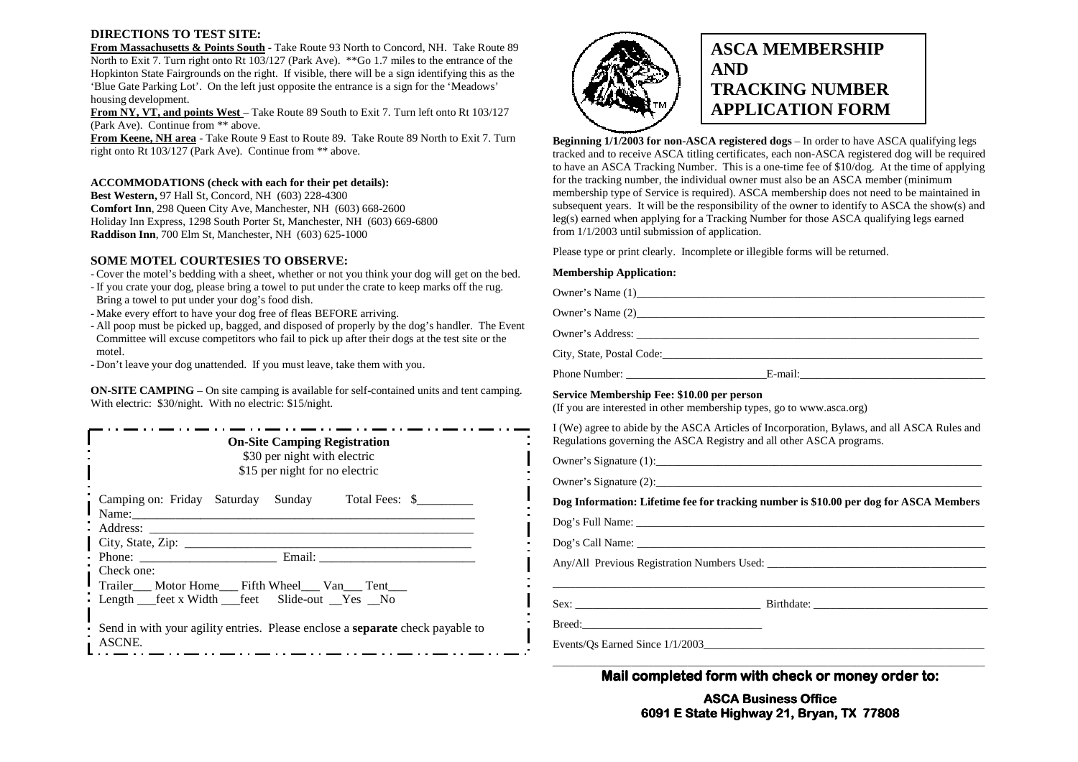#### **DIRECTIONS TO TEST SITE:**

 **From Massachusetts & Points South** - Take Route 93 North to Concord, NH. Take Route 89 North to Exit 7. Turn right onto Rt 103/127 (Park Ave). \*\* Go 1.7 miles to the entrance of the Hopkinton State Fairgrounds on the right. If visible, there will be a sign identifying this as the 'Blue Gate Parking Lot'. On the left just opposite the entrance is a sign for the 'Meadows' housing development.

 **From NY, VT, and points West** – Take Route 89 South to Exit 7. Turn left onto Rt 103/127 (Park Ave). Continue from \*\* above.

 **From Keene, NH area** - Take Route 9 East to Route 89. Take Route 89 North to Exit 7. Turn right onto Rt 103/127 (Park Ave). Continue from \*\* above.

#### **ACCOMMODATIONS (check with each for their pet details):**

**Best Western,** 97 Hall St, Concord, NH (603) 228-4300 **Comfort Inn**, 298 Queen City Ave, Manchester, NH (603) 668-2600 Holiday Inn Express, 1298 South Porter St, Manchester, NH (603) 669-6800 **Raddison Inn**, 700 Elm St, Manchester, NH (603) 625-1000

#### **SOME MOTEL COURTESIES TO OBSERVE:**

- Cover the motel's bedding with a sheet, whether or not you think your dog will get on the bed.<br>- If you crate your dog, please bring a towel to put under the crate to keep marks off the rug

- If you crate your dog, please bring a towel to put under the crate to keep marks off the rug. Bring a towel to put under your dog's food dish.
- Make every effort to have your dog free of fleas BEFORE arriving.
- All poop must be picked up, bagged, and disposed of properly by the dog's handler. The Event Committee will excuse competitors who fail to pick up after their dogs at the test site or the

motel. - Don't leave your dog unattended. If you must leave, take them with you.

**ON-SITE CAMPING** – On site camping is available for self-contained units and tent camping. With electric: \$30/night. With no electric: \$15/night.

| <b>On-Site Camping Registration</b><br>\$30 per night with electric<br>\$15 per night for no electric                   |  |  |                                                                                      |  |  |  |  |
|-------------------------------------------------------------------------------------------------------------------------|--|--|--------------------------------------------------------------------------------------|--|--|--|--|
| Name:                                                                                                                   |  |  | Camping on: Friday Saturday Sunday Total Fees: \$                                    |  |  |  |  |
|                                                                                                                         |  |  | Email:                                                                               |  |  |  |  |
| Check one:<br>Trailer___ Motor Home___ Fifth Wheel___ Van___ Tent___<br>Length __feet x Width __feet Slide-out _Yes _No |  |  |                                                                                      |  |  |  |  |
| ASCNE.                                                                                                                  |  |  | Send in with your agility entries. Please enclose a <b>separate</b> check payable to |  |  |  |  |



# **ASCA MEMBERSHIP AND TRACKING NUMBER APPLICATION FORM**

**Beginning 1/1/2003 for non-ASCA registered dogs** – In order to have ASCA qualifying legs tracked and to receive ASCA titling certificates, each non-ASCA registered dog will be required to have an ASCA Tracking Number. This is a one-time fee of \$10/dog. At the time of applying for the tracking number, the individual owner must also be an ASCA member (minimum membership type of Service is required). ASCA membership does not need to be maintained in subsequent years. It will be the responsibility of the owner to identify to ASCA the show(s) and leg(s) earned when applying for a Tracking Number for those ASCA qualifying legs earned from 1/1/2003 until submission of application.

Please type or print clearly. Incomplete or illegible forms will be returned.

#### **Membership Application:**

| Service Membershin Fee: \$10.00 per person |  |
|--------------------------------------------|--|

**Service Membership Fee: \$10.00 per person**  (If you are interested in other membership types, go to www.asca.org)

I (We) agree to abide by the ASCA Articles of Incorporation, Bylaws, and all ASCA Rules and Regulations governing the ASCA Registry and all other ASCA programs.

Owner's Signature  $(1)$ :  $\qquad \qquad$ 

Owner's Signature  $(2)$ :

**Dog Information: Lifetime fee for tracking number is \$10.00 per dog for ASCA Members** 

Dog's Full Name: \_\_\_\_\_\_\_\_\_\_\_\_\_\_\_\_\_\_\_\_\_\_\_\_\_\_\_\_\_\_\_\_\_\_\_\_\_\_\_\_\_\_\_\_\_\_\_\_\_\_\_\_\_\_\_\_\_\_\_\_\_\_

 $\log$ 's Call Name:

Any/All Previous Registration Numbers Used: \_\_\_\_\_\_\_\_\_\_\_\_\_\_\_\_\_\_\_\_\_\_\_\_\_\_\_\_\_\_\_\_\_\_\_\_\_\_\_ \_\_\_\_\_\_\_\_\_\_\_\_\_\_\_\_\_\_\_\_\_\_\_\_\_\_\_\_\_\_\_\_\_\_\_\_\_\_\_\_\_\_\_\_\_\_\_\_\_\_\_\_\_\_\_\_\_\_\_\_\_\_\_\_\_\_\_\_\_\_\_\_\_\_\_\_\_

 $Sex:$ 

Breed:\_\_\_\_\_\_\_\_\_\_\_\_\_\_\_\_\_\_\_\_\_\_\_\_\_\_\_\_\_\_\_\_

Events/Os Earned Since  $1/1/2003$ 

**Mail completed form with check or money order to:** 

**ASCA Business Office 6091 E State Highway 21, Bryan, TX Highway 77808**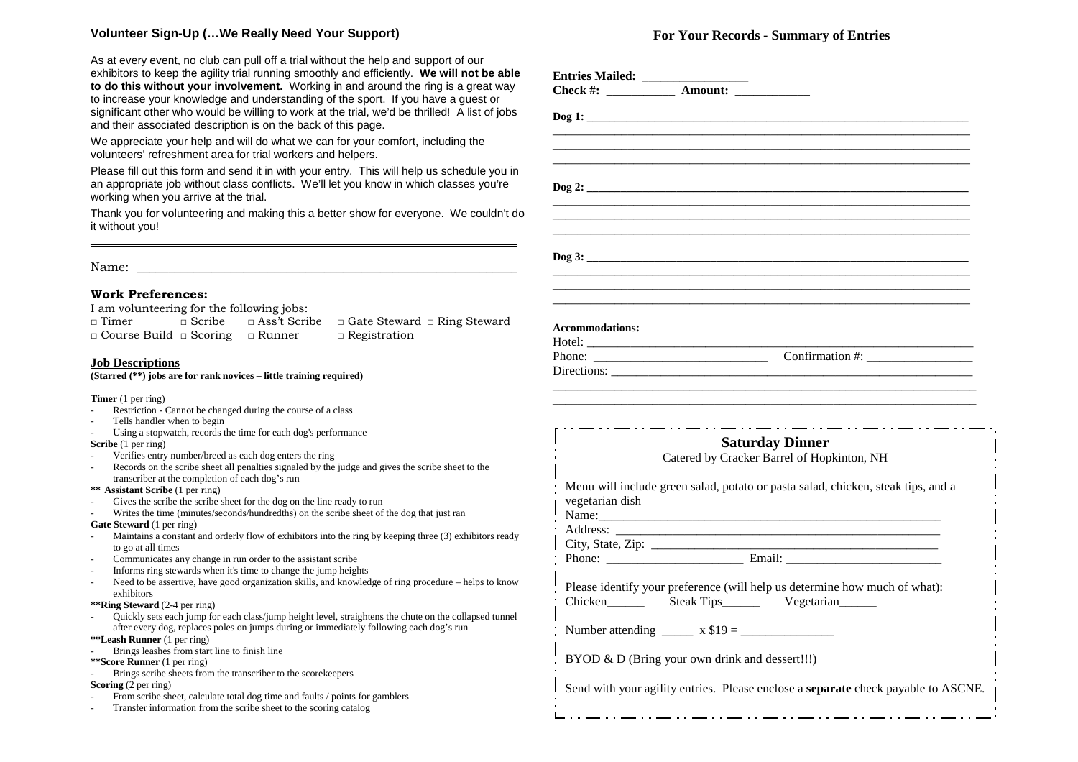#### **Volunteer Sign-Up (…We Really Need Your Support)**

As at every event, no club can pull off a trial without the help and support of our exhibitors to keep the agility trial running smoothly and efficiently. **We will not be able to do this without your involvement.** Working in and around the ring is a great way to increase your knowledge and understanding of the sport. If you have a guest or significant other who would be willing to work at the trial, we'd be thrilled! A list of jobs and their associated description is on the back of this page.

We appreciate your help and will do what we can for your comfort, including the volunteers' refreshment area for trial workers and helpers.

Please fill out this form and send it in with your entry. This will help us schedule you in an appropriate job without class conflicts. We'll let you know in which classes you're working when you arrive at the trial.

Thank you for volunteering and making this a better show for everyone. We couldn't do it without you! **\_\_\_\_\_\_\_\_\_\_\_\_\_\_\_\_\_\_\_\_\_\_\_\_\_\_\_\_\_\_\_\_\_\_\_\_\_\_\_\_\_\_\_\_\_\_\_\_\_\_\_\_\_\_\_\_\_\_\_\_\_\_\_\_\_\_\_\_\_\_\_\_\_\_\_\_** 

 $Name:$ 

#### **Work Preferences:**

I am volunteering for the following jobs:

□ Timer □ Scribe □ Ass't Scribe □ Gate Steward □ Ring Steward □ Course Build □ Scoring □ Runner □ Registration

#### **Job Descriptions**

**(Starred (\*\*) jobs are for rank novices – little training required)** 

**Timer** (1 per ring)

- Restriction Cannot be changed during the course of a class<br>Tells handler when to begin
- 
- Tells handler when to begin<br>- Using a stopwatch, records the time for each dog's performance

- **Scribe** (1 per ring)<br>- Verifies entry number/breed as each dog enters the ring
- Verifies entry number/breed as each dog enters the ring<br>- Records on the scribe sheet all penalties signaled by the judge and gives the scribe sheet to the transcriber at the completion of each dog's run

**\*\* Assistant Scribe** (1 per ring) -

- Gives the scribe the scribe sheet for the dog on the line ready to run
- Writes the time (minutes/seconds/hundredths) on the scribe sheet of the dog that just ran

**Gate Steward** (1 per ring)

- Maintains a constant and orderly flow of exhibitors into the ring by keeping three (3) exhibitors ready to go at all times to go at all times<br>Communicates and
- Communicates any change in run order to the assistant scribe<br>Informs ring stewards when it's time to change the jump heigh-
- 
- Informs ring stewards when it's time to change the jump heights<br>- Need to be assertive, have good organization skills, and knowledge of ring procedure helps to know exhibitors

**\*\*Ring Steward** (2-4 per ring)<br>Duickly sets each jump for

 Quickly sets each jump for each class/jump height level, straightens the chute on the collapsed tunnel after every dog, replaces poles on jumps during or immediately following each dog's run

**\*\*Leash Runner** (1 per ring) -

- Brings leashes from start line to finish line
- **\*\*Score Runner** (1 per ring) -
- Brings scribe sheets from the transcriber to the scorekeepers

**Scoring** (2 per ring)

- From scribe sheet, calculate total dog time and faults / points for gamblers
- Transfer information from the scribe sheet to the scoring catalog

#### **For Your Records - Summary of Entries**

|                        | $\log 1$ :                                                                                                                         |
|------------------------|------------------------------------------------------------------------------------------------------------------------------------|
|                        |                                                                                                                                    |
|                        |                                                                                                                                    |
|                        |                                                                                                                                    |
|                        | $\log 2$ :                                                                                                                         |
|                        |                                                                                                                                    |
|                        |                                                                                                                                    |
|                        |                                                                                                                                    |
|                        |                                                                                                                                    |
|                        |                                                                                                                                    |
|                        |                                                                                                                                    |
|                        |                                                                                                                                    |
|                        |                                                                                                                                    |
| <b>Accommodations:</b> |                                                                                                                                    |
|                        |                                                                                                                                    |
|                        |                                                                                                                                    |
|                        | Directions:                                                                                                                        |
|                        | <b>Saturday Dinner</b><br>Catered by Cracker Barrel of Hopkinton, NH                                                               |
|                        |                                                                                                                                    |
| vegetarian dish        | Menu will include green salad, potato or pasta salad, chicken, steak tips, and a                                                   |
|                        |                                                                                                                                    |
| Address:               |                                                                                                                                    |
|                        |                                                                                                                                    |
|                        |                                                                                                                                    |
|                        | Please identify your preference (will help us determine how much of what):<br>Chicken ________ Steak Tips________ Vegetarian______ |
|                        |                                                                                                                                    |
|                        | BYOD & D (Bring your own drink and dessert!!!)                                                                                     |
|                        | Send with your agility entries. Please enclose a separate check payable to ASCNE.                                                  |
|                        |                                                                                                                                    |